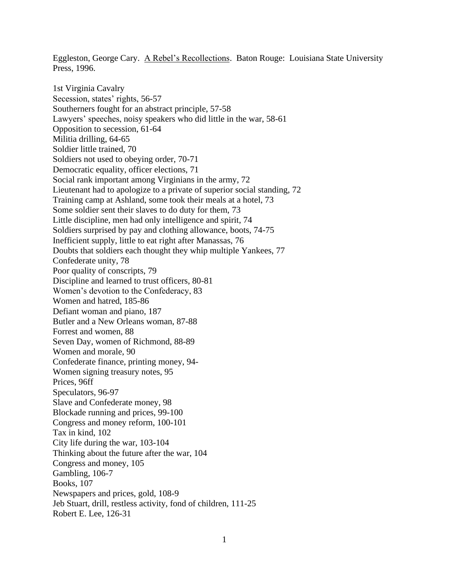Eggleston, George Cary. A Rebel's Recollections. Baton Rouge: Louisiana State University Press, 1996.

1st Virginia Cavalry Secession, states' rights, 56-57 Southerners fought for an abstract principle, 57-58 Lawyers' speeches, noisy speakers who did little in the war, 58-61 Opposition to secession, 61-64 Militia drilling, 64-65 Soldier little trained, 70 Soldiers not used to obeying order, 70-71 Democratic equality, officer elections, 71 Social rank important among Virginians in the army, 72 Lieutenant had to apologize to a private of superior social standing, 72 Training camp at Ashland, some took their meals at a hotel, 73 Some soldier sent their slaves to do duty for them, 73 Little discipline, men had only intelligence and spirit, 74 Soldiers surprised by pay and clothing allowance, boots, 74-75 Inefficient supply, little to eat right after Manassas, 76 Doubts that soldiers each thought they whip multiple Yankees, 77 Confederate unity, 78 Poor quality of conscripts, 79 Discipline and learned to trust officers, 80-81 Women's devotion to the Confederacy, 83 Women and hatred, 185-86 Defiant woman and piano, 187 Butler and a New Orleans woman, 87-88 Forrest and women, 88 Seven Day, women of Richmond, 88-89 Women and morale, 90 Confederate finance, printing money, 94- Women signing treasury notes, 95 Prices, 96ff Speculators, 96-97 Slave and Confederate money, 98 Blockade running and prices, 99-100 Congress and money reform, 100-101 Tax in kind, 102 City life during the war, 103-104 Thinking about the future after the war, 104 Congress and money, 105 Gambling, 106-7 Books, 107 Newspapers and prices, gold, 108-9 Jeb Stuart, drill, restless activity, fond of children, 111-25 Robert E. Lee, 126-31